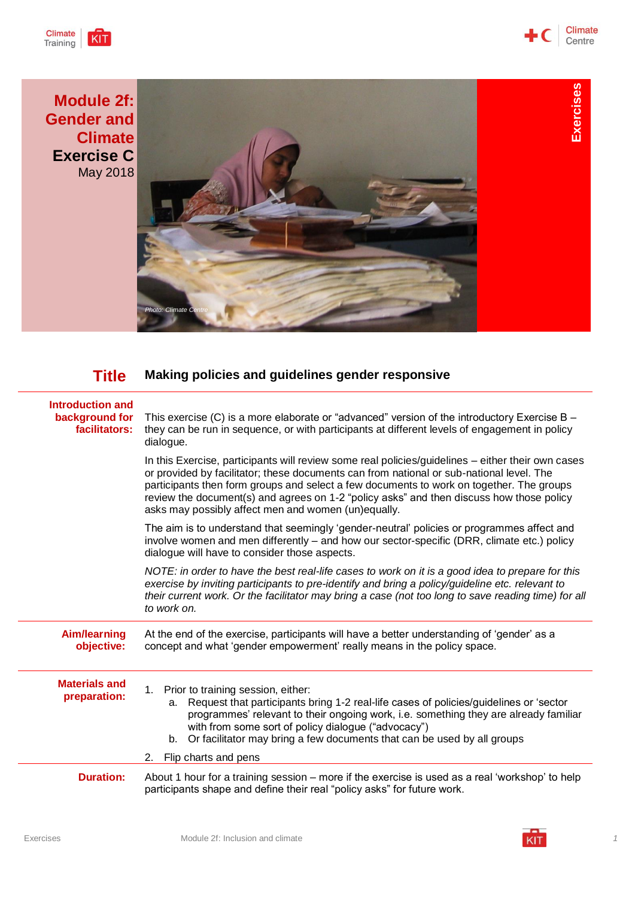





## **Title Making policies and guidelines gender responsive**

| <b>Introduction and</b><br>background for<br>facilitators: | This exercise (C) is a more elaborate or "advanced" version of the introductory Exercise B $-$<br>they can be run in sequence, or with participants at different levels of engagement in policy<br>dialogue.                                                                                                                                                                                                                                 |
|------------------------------------------------------------|----------------------------------------------------------------------------------------------------------------------------------------------------------------------------------------------------------------------------------------------------------------------------------------------------------------------------------------------------------------------------------------------------------------------------------------------|
|                                                            | In this Exercise, participants will review some real policies/guidelines – either their own cases<br>or provided by facilitator; these documents can from national or sub-national level. The<br>participants then form groups and select a few documents to work on together. The groups<br>review the document(s) and agrees on 1-2 "policy asks" and then discuss how those policy<br>asks may possibly affect men and women (un)equally. |
|                                                            | The aim is to understand that seemingly 'gender-neutral' policies or programmes affect and<br>involve women and men differently – and how our sector-specific (DRR, climate etc.) policy<br>dialogue will have to consider those aspects.                                                                                                                                                                                                    |
|                                                            | NOTE: in order to have the best real-life cases to work on it is a good idea to prepare for this<br>exercise by inviting participants to pre-identify and bring a policy/guideline etc. relevant to<br>their current work. Or the facilitator may bring a case (not too long to save reading time) for all<br>to work on.                                                                                                                    |
| <b>Aim/learning</b><br>objective:                          | At the end of the exercise, participants will have a better understanding of 'gender' as a<br>concept and what 'gender empowerment' really means in the policy space.                                                                                                                                                                                                                                                                        |
| <b>Materials and</b><br>preparation:                       | 1. Prior to training session, either:<br>a. Request that participants bring 1-2 real-life cases of policies/guidelines or 'sector<br>programmes' relevant to their ongoing work, i.e. something they are already familiar<br>with from some sort of policy dialogue ("advocacy")<br>b. Or facilitator may bring a few documents that can be used by all groups<br>2. Flip charts and pens                                                    |
| <b>Duration:</b>                                           | About 1 hour for a training session – more if the exercise is used as a real 'workshop' to help<br>participants shape and define their real "policy asks" for future work.                                                                                                                                                                                                                                                                   |